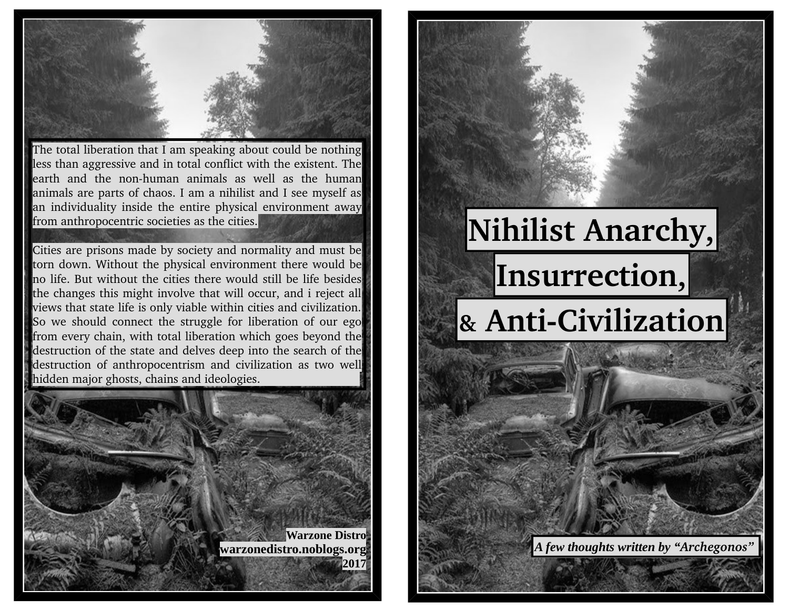

The total liberation that I am speaking about could be nothing less than aggressive and in total conflict with the existent. The earth and the non-human animals as well as the human animals are parts of chaos. I am a nihilist and I see myself as an individuality inside the entire physical environment away from anthropocentric societies as the cities.

Cities are prisons made by society and normality and must be torn down. Without the physical environment there would be no life. But without the cities there would still be life besides the changes this might involve that will occur, and i reject all views that state life is only viable within cities and civilization. So we should connect the struggle for liberation of our ego from every chain, with total liberation which goes beyond the destruction of the state and delves deep into the search of the destruction of anthropocentrism and civilization as two well hidden major ghosts, chains and ideologies.



## **Nihilist Anarchy, Insurrection,**  $\bf k$  Anti-Civilization *A few thoughts written by "Archegonos"*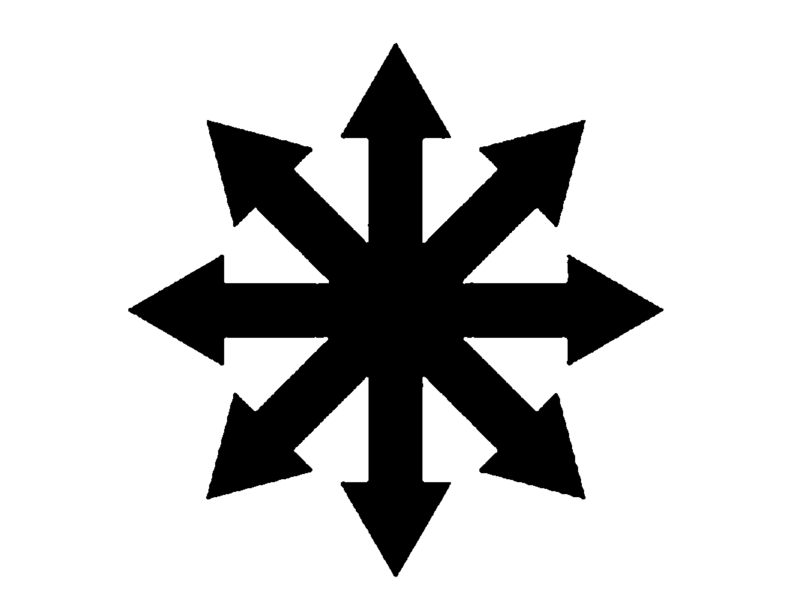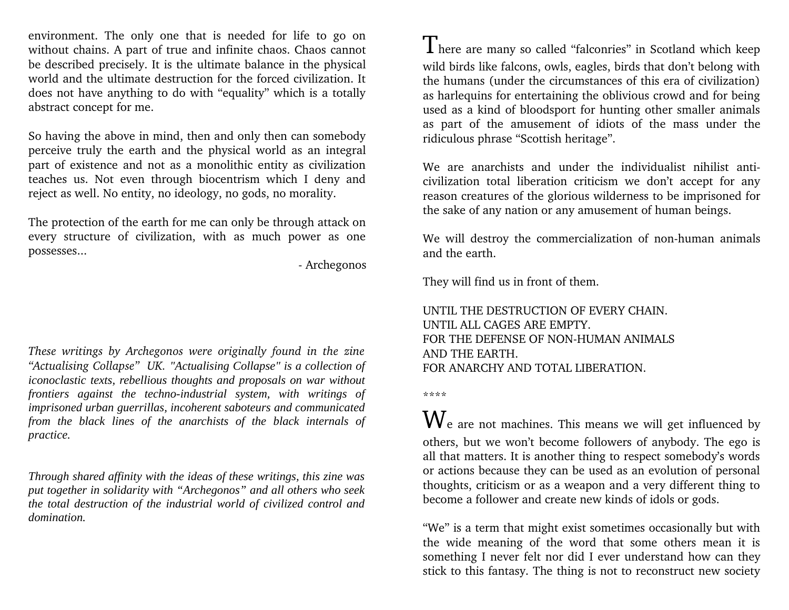environment. The only one that is needed for life to go on without chains. A part of true and infinite chaos. Chaos cannot be described precisely. It is the ultimate balance in the physical world and the ultimate destruction for the forced civilization. It does not have anything to do with "equality" which is a totally abstract concept for me.

So having the above in mind, then and only then can somebody perceive truly the earth and the physical world as an integral part of existence and not as a monolithic entity as civilization teaches us. Not even through biocentrism which I deny and reject as well. No entity, no ideology, no gods, no morality.

The protection of the earth for me can only be through attack on every structure of civilization, with as much power as one possesses...

Archegonos

*These writings by Archegonos were originally found in the zine "Actualising Collapse" UK. "Actualising Collapse" is a collection of iconoclastic texts, rebellious thoughts and proposals on war without frontiers against the techno-industrial system, with writings of imprisoned urban guerrillas, incoherent saboteurs and communicated from the black lines of the anarchists of the black internals of practice.*

*Through shared affinity with the ideas of these writings, this zine was put together in solidarity with "Archegonos" and all others who seek the total destruction of the industrial world of civilized control and domination.* 

 $\mathrm{T}% _{1}\left( \mathcal{M}_{2}\right)$  here are many so called "falconries" in Scotland which keep wild birds like falcons, owls, eagles, birds that don't belong with the humans (under the circumstances of this era of civilization) as harlequins for entertaining the oblivious crowd and for being used as a kind of bloodsport for hunting other smaller animals as part of the amusement of idiots of the mass under the ridiculous phrase "Scottish heritage".

We are anarchists and under the individualist nihilist anticivilization total liberation criticism we don't accept for any reason creatures of the glorious wilderness to be imprisoned for the sake of any nation or any amusement of human beings.

We will destroy the commercialization of non-human animals and the earth.

They will find us in front of them.

UNTIL THE DESTRUCTION OF EVERY CHAIN. UNTIL ALL CAGES ARE EMPTY. FOR THE DEFENSE OF NON-HUMAN ANIMALS AND THE EARTH. FOR ANARCHY AND TOTAL LIBERATION.

\*\*\*\*

 $\rm W_{e}$  are not machines. This means we will get influenced by others, but we won't become followers of anybody. The ego is all that matters. It is another thing to respect somebody's words or actions because they can be used as an evolution of personal thoughts, criticism or as a weapon and a very different thing to become a follower and create new kinds of idols or gods.

"We" is a term that might exist sometimes occasionally but with the wide meaning of the word that some others mean it is something I never felt nor did I ever understand how can they stick to this fantasy. The thing is not to reconstruct new society